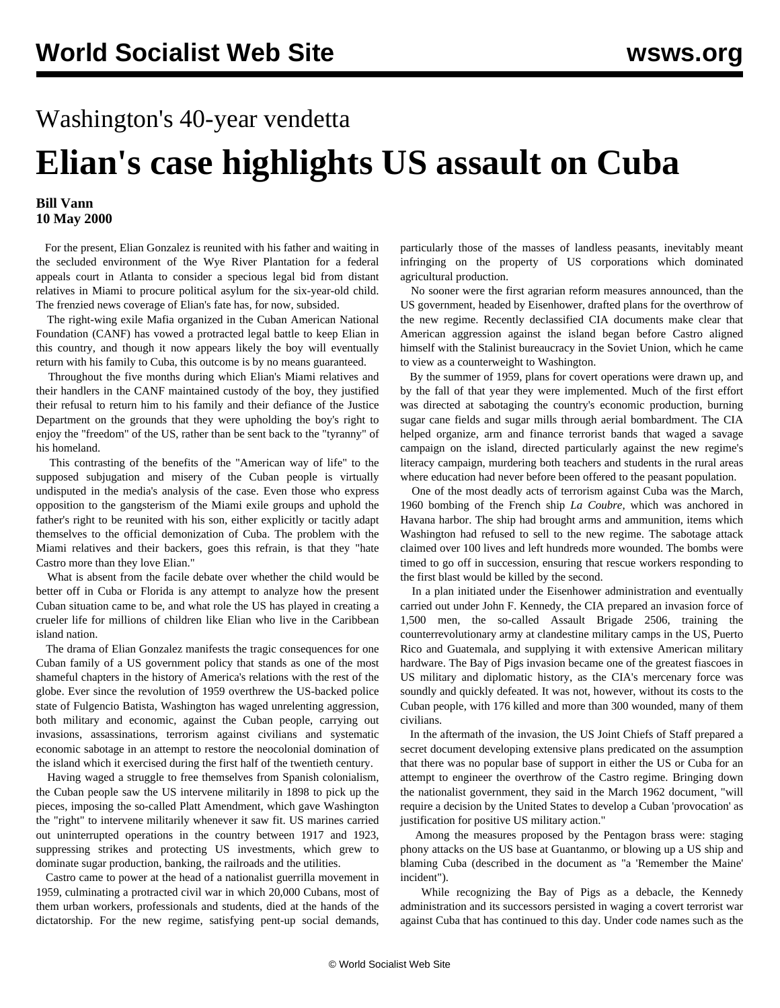## Washington's 40-year vendetta **Elian's case highlights US assault on Cuba**

## **Bill Vann 10 May 2000**

 For the present, Elian Gonzalez is reunited with his father and waiting in the secluded environment of the Wye River Plantation for a federal appeals court in Atlanta to consider a specious legal bid from distant relatives in Miami to procure political asylum for the six-year-old child. The frenzied news coverage of Elian's fate has, for now, subsided.

 The right-wing exile Mafia organized in the Cuban American National Foundation (CANF) has vowed a protracted legal battle to keep Elian in this country, and though it now appears likely the boy will eventually return with his family to Cuba, this outcome is by no means guaranteed.

 Throughout the five months during which Elian's Miami relatives and their handlers in the CANF maintained custody of the boy, they justified their refusal to return him to his family and their defiance of the Justice Department on the grounds that they were upholding the boy's right to enjoy the "freedom" of the US, rather than be sent back to the "tyranny" of his homeland.

 This contrasting of the benefits of the "American way of life" to the supposed subjugation and misery of the Cuban people is virtually undisputed in the media's analysis of the case. Even those who express opposition to the gangsterism of the Miami exile groups and uphold the father's right to be reunited with his son, either explicitly or tacitly adapt themselves to the official demonization of Cuba. The problem with the Miami relatives and their backers, goes this refrain, is that they "hate Castro more than they love Elian."

 What is absent from the facile debate over whether the child would be better off in Cuba or Florida is any attempt to analyze how the present Cuban situation came to be, and what role the US has played in creating a crueler life for millions of children like Elian who live in the Caribbean island nation.

 The drama of Elian Gonzalez manifests the tragic consequences for one Cuban family of a US government policy that stands as one of the most shameful chapters in the history of America's relations with the rest of the globe. Ever since the revolution of 1959 overthrew the US-backed police state of Fulgencio Batista, Washington has waged unrelenting aggression, both military and economic, against the Cuban people, carrying out invasions, assassinations, terrorism against civilians and systematic economic sabotage in an attempt to restore the neocolonial domination of the island which it exercised during the first half of the twentieth century.

 Having waged a struggle to free themselves from Spanish colonialism, the Cuban people saw the US intervene militarily in 1898 to pick up the pieces, imposing the so-called Platt Amendment, which gave Washington the "right" to intervene militarily whenever it saw fit. US marines carried out uninterrupted operations in the country between 1917 and 1923, suppressing strikes and protecting US investments, which grew to dominate sugar production, banking, the railroads and the utilities.

 Castro came to power at the head of a nationalist guerrilla movement in 1959, culminating a protracted civil war in which 20,000 Cubans, most of them urban workers, professionals and students, died at the hands of the dictatorship. For the new regime, satisfying pent-up social demands,

particularly those of the masses of landless peasants, inevitably meant infringing on the property of US corporations which dominated agricultural production.

 No sooner were the first agrarian reform measures announced, than the US government, headed by Eisenhower, drafted plans for the overthrow of the new regime. Recently declassified CIA documents make clear that American aggression against the island began before Castro aligned himself with the Stalinist bureaucracy in the Soviet Union, which he came to view as a counterweight to Washington.

 By the summer of 1959, plans for covert operations were drawn up, and by the fall of that year they were implemented. Much of the first effort was directed at sabotaging the country's economic production, burning sugar cane fields and sugar mills through aerial bombardment. The CIA helped organize, arm and finance terrorist bands that waged a savage campaign on the island, directed particularly against the new regime's literacy campaign, murdering both teachers and students in the rural areas where education had never before been offered to the peasant population.

 One of the most deadly acts of terrorism against Cuba was the March, 1960 bombing of the French ship *La Coubre*, which was anchored in Havana harbor. The ship had brought arms and ammunition, items which Washington had refused to sell to the new regime. The sabotage attack claimed over 100 lives and left hundreds more wounded. The bombs were timed to go off in succession, ensuring that rescue workers responding to the first blast would be killed by the second.

 In a plan initiated under the Eisenhower administration and eventually carried out under John F. Kennedy, the CIA prepared an invasion force of 1,500 men, the so-called Assault Brigade 2506, training the counterrevolutionary army at clandestine military camps in the US, Puerto Rico and Guatemala, and supplying it with extensive American military hardware. The Bay of Pigs invasion became one of the greatest fiascoes in US military and diplomatic history, as the CIA's mercenary force was soundly and quickly defeated. It was not, however, without its costs to the Cuban people, with 176 killed and more than 300 wounded, many of them civilians.

 In the aftermath of the invasion, the US Joint Chiefs of Staff prepared a secret document developing extensive plans predicated on the assumption that there was no popular base of support in either the US or Cuba for an attempt to engineer the overthrow of the Castro regime. Bringing down the nationalist government, they said in the March 1962 document, "will require a decision by the United States to develop a Cuban 'provocation' as justification for positive US military action."

 Among the measures proposed by the Pentagon brass were: staging phony attacks on the US base at Guantanmo, or blowing up a US ship and blaming Cuba (described in the document as "a 'Remember the Maine' incident").

 While recognizing the Bay of Pigs as a debacle, the Kennedy administration and its successors persisted in waging a covert terrorist war against Cuba that has continued to this day. Under code names such as the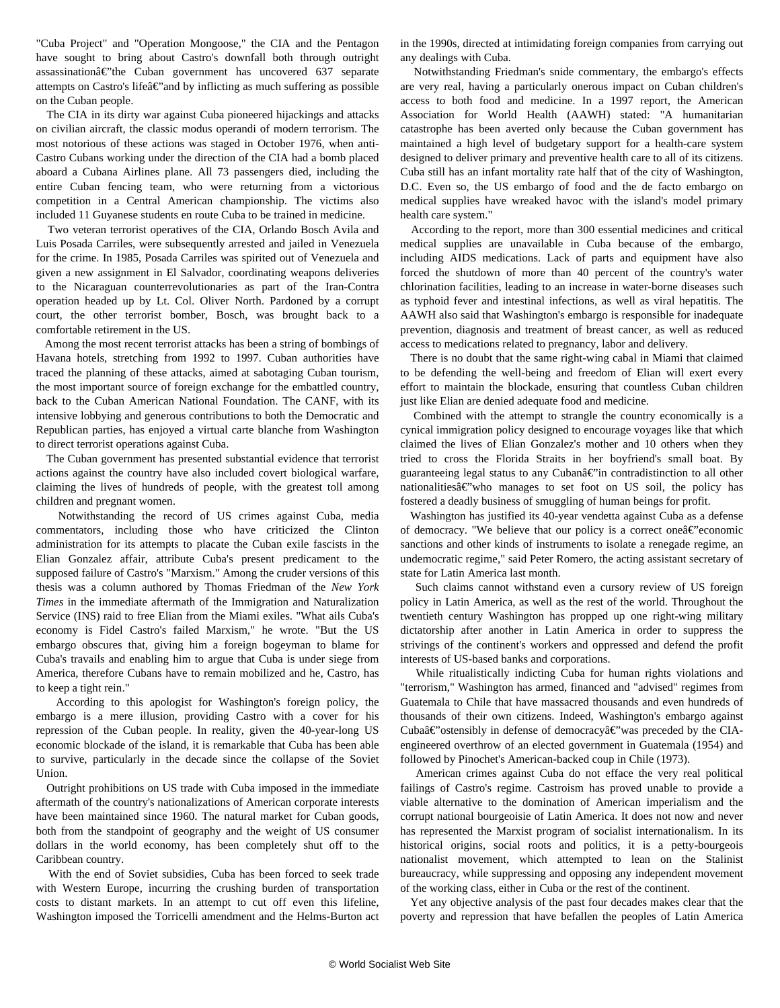"Cuba Project" and "Operation Mongoose," the CIA and the Pentagon have sought to bring about Castro's downfall both through outright assassination $\hat{a} \in \hat{c}$  at Cuban government has uncovered 637 separate attempts on Castro's life $\hat{a} \in \hat{a}$  and by inflicting as much suffering as possible on the Cuban people.

 The CIA in its dirty war against Cuba pioneered hijackings and attacks on civilian aircraft, the classic modus operandi of modern terrorism. The most notorious of these actions was staged in October 1976, when anti-Castro Cubans working under the direction of the CIA had a bomb placed aboard a Cubana Airlines plane. All 73 passengers died, including the entire Cuban fencing team, who were returning from a victorious competition in a Central American championship. The victims also included 11 Guyanese students en route Cuba to be trained in medicine.

 Two veteran terrorist operatives of the CIA, Orlando Bosch Avila and Luis Posada Carriles, were subsequently arrested and jailed in Venezuela for the crime. In 1985, Posada Carriles was spirited out of Venezuela and given a new assignment in El Salvador, coordinating weapons deliveries to the Nicaraguan counterrevolutionaries as part of the Iran-Contra operation headed up by Lt. Col. Oliver North. Pardoned by a corrupt court, the other terrorist bomber, Bosch, was brought back to a comfortable retirement in the US.

 Among the most recent terrorist attacks has been a string of bombings of Havana hotels, stretching from 1992 to 1997. Cuban authorities have traced the planning of these attacks, aimed at sabotaging Cuban tourism, the most important source of foreign exchange for the embattled country, back to the Cuban American National Foundation. The CANF, with its intensive lobbying and generous contributions to both the Democratic and Republican parties, has enjoyed a virtual carte blanche from Washington to direct terrorist operations against Cuba.

 The Cuban government has presented substantial evidence that terrorist actions against the country have also included covert biological warfare, claiming the lives of hundreds of people, with the greatest toll among children and pregnant women.

 Notwithstanding the record of US crimes against Cuba, media commentators, including those who have criticized the Clinton administration for its attempts to placate the Cuban exile fascists in the Elian Gonzalez affair, attribute Cuba's present predicament to the supposed failure of Castro's "Marxism." Among the cruder versions of this thesis was a column authored by Thomas Friedman of the *New York Times* in the immediate aftermath of the Immigration and Naturalization Service (INS) raid to free Elian from the Miami exiles. "What ails Cuba's economy is Fidel Castro's failed Marxism," he wrote. "But the US embargo obscures that, giving him a foreign bogeyman to blame for Cuba's travails and enabling him to argue that Cuba is under siege from America, therefore Cubans have to remain mobilized and he, Castro, has to keep a tight rein."

 According to this apologist for Washington's foreign policy, the embargo is a mere illusion, providing Castro with a cover for his repression of the Cuban people. In reality, given the 40-year-long US economic blockade of the island, it is remarkable that Cuba has been able to survive, particularly in the decade since the collapse of the Soviet Union.

 Outright prohibitions on US trade with Cuba imposed in the immediate aftermath of the country's nationalizations of American corporate interests have been maintained since 1960. The natural market for Cuban goods, both from the standpoint of geography and the weight of US consumer dollars in the world economy, has been completely shut off to the Caribbean country.

 With the end of Soviet subsidies, Cuba has been forced to seek trade with Western Europe, incurring the crushing burden of transportation costs to distant markets. In an attempt to cut off even this lifeline, Washington imposed the Torricelli amendment and the Helms-Burton act in the 1990s, directed at intimidating foreign companies from carrying out any dealings with Cuba.

 Notwithstanding Friedman's snide commentary, the embargo's effects are very real, having a particularly onerous impact on Cuban children's access to both food and medicine. In a 1997 report, the American Association for World Health (AAWH) stated: "A humanitarian catastrophe has been averted only because the Cuban government has maintained a high level of budgetary support for a health-care system designed to deliver primary and preventive health care to all of its citizens. Cuba still has an infant mortality rate half that of the city of Washington, D.C. Even so, the US embargo of food and the de facto embargo on medical supplies have wreaked havoc with the island's model primary health care system."

 According to the report, more than 300 essential medicines and critical medical supplies are unavailable in Cuba because of the embargo, including AIDS medications. Lack of parts and equipment have also forced the shutdown of more than 40 percent of the country's water chlorination facilities, leading to an increase in water-borne diseases such as typhoid fever and intestinal infections, as well as viral hepatitis. The AAWH also said that Washington's embargo is responsible for inadequate prevention, diagnosis and treatment of breast cancer, as well as reduced access to medications related to pregnancy, labor and delivery.

 There is no doubt that the same right-wing cabal in Miami that claimed to be defending the well-being and freedom of Elian will exert every effort to maintain the blockade, ensuring that countless Cuban children just like Elian are denied adequate food and medicine.

 Combined with the attempt to strangle the country economically is a cynical immigration policy designed to encourage voyages like that which claimed the lives of Elian Gonzalez's mother and 10 others when they tried to cross the Florida Straits in her boyfriend's small boat. By guaranteeing legal status to any Cubanâ $\epsilon$ "in contradistinction to all other nationalities $\hat{a} \in \hat{C}$  who manages to set foot on US soil, the policy has fostered a deadly business of smuggling of human beings for profit.

 Washington has justified its 40-year vendetta against Cuba as a defense of democracy. "We believe that our policy is a correct one $\hat{a} \in \hat{C}$ "economic sanctions and other kinds of instruments to isolate a renegade regime, an undemocratic regime," said Peter Romero, the acting assistant secretary of state for Latin America last month.

 Such claims cannot withstand even a cursory review of US foreign policy in Latin America, as well as the rest of the world. Throughout the twentieth century Washington has propped up one right-wing military dictatorship after another in Latin America in order to suppress the strivings of the continent's workers and oppressed and defend the profit interests of US-based banks and corporations.

 While ritualistically indicting Cuba for human rights violations and "terrorism," Washington has armed, financed and "advised" regimes from Guatemala to Chile that have massacred thousands and even hundreds of thousands of their own citizens. Indeed, Washington's embargo against Cubaâ $\epsilon$ "ostensibly in defense of democracyâ $\epsilon$ "was preceded by the CIAengineered overthrow of an elected government in Guatemala (1954) and followed by Pinochet's American-backed coup in Chile (1973).

 American crimes against Cuba do not efface the very real political failings of Castro's regime. Castroism has proved unable to provide a viable alternative to the domination of American imperialism and the corrupt national bourgeoisie of Latin America. It does not now and never has represented the Marxist program of socialist internationalism. In its historical origins, social roots and politics, it is a petty-bourgeois nationalist movement, which attempted to lean on the Stalinist bureaucracy, while suppressing and opposing any independent movement of the working class, either in Cuba or the rest of the continent.

 Yet any objective analysis of the past four decades makes clear that the poverty and repression that have befallen the peoples of Latin America